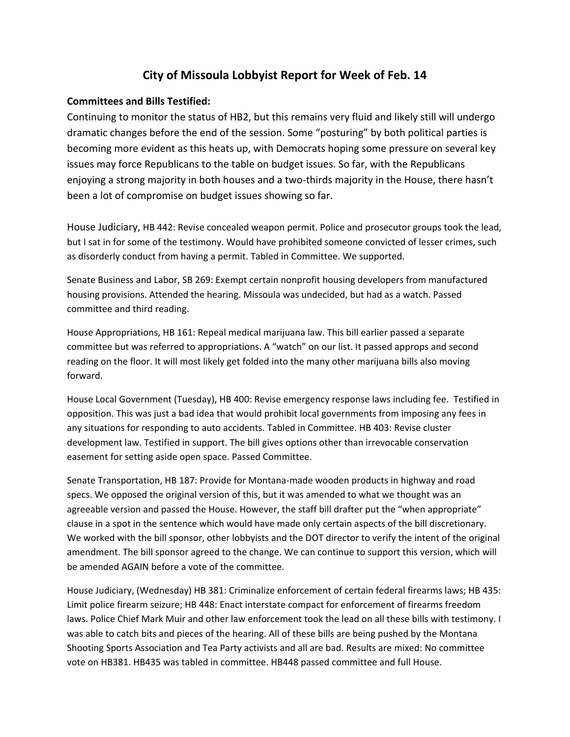## **City of Missoula Lobbyist Report for Week of Feb. 14**

## **Committees and Bills Testified:**

Continuing to monitor the status of HB2, but this remains very fluid and likely still will undergo dramatic changes before the end of the session. Some "posturing" by both political parties is becoming more evident as this heats up, with Democrats hoping some pressure on several key issues may force Republicans to the table on budget issues. So far, with the Republicans enjoying a strong majority in both houses and a two-thirds majority in the House, there hasn't been a lot of compromise on budget issues showing so far.

House Judiciary, HB 442: Revise concealed weapon permit. Police and prosecutor groups took the lead, but I sat in for some of the testimony. Would have prohibited someone convicted of lesser crimes, such as disorderly conduct from having a permit. Tabled in Committee. We supported.

Senate Business and Labor, SB 269: Exempt certain nonprofit housing developers from manufactured housing provisions. Attended the hearing. Missoula was undecided, but had as a watch. Passed committee and third reading.

House Appropriations, HB 161: Repeal medical marijuana law. This bill earlier passed a separate committee but was referred to appropriations. A "watch" on our list. It passed approps and second reading on the floor. It will most likely get folded into the many other marijuana bills also moving forward.

House Local Government (Tuesday), HB 400: Revise emergency response laws including fee. Testified in opposition. This was just a bad idea that would prohibit local governments from imposing any fees in any situations for responding to auto accidents. Tabled in Committee. HB 403: Revise cluster development law. Testified in support. The bill gives options other than irrevocable conservation easement for setting aside open space. Passed Committee.

Senate Transportation, HB 187: Provide for Montana‐made wooden products in highway and road specs. We opposed the original version of this, but it was amended to what we thought was an agreeable version and passed the House. However, the staff bill drafter put the "when appropriate" clause in a spot in the sentence which would have made only certain aspects of the bill discretionary. We worked with the bill sponsor, other lobbyists and the DOT director to verify the intent of the original amendment. The bill sponsor agreed to the change. We can continue to support this version, which will be amended AGAIN before a vote of the committee.

House Judiciary, (Wednesday) HB 381: Criminalize enforcement of certain federal firearms laws; HB 435: Limit police firearm seizure; HB 448: Enact interstate compact for enforcement of firearms freedom laws. Police Chief Mark Muir and other law enforcement took the lead on all these bills with testimony. I was able to catch bits and pieces of the hearing. All of these bills are being pushed by the Montana Shooting Sports Association and Tea Party activists and all are bad. Results are mixed: No committee vote on HB381. HB435 was tabled in committee. HB448 passed committee and full House.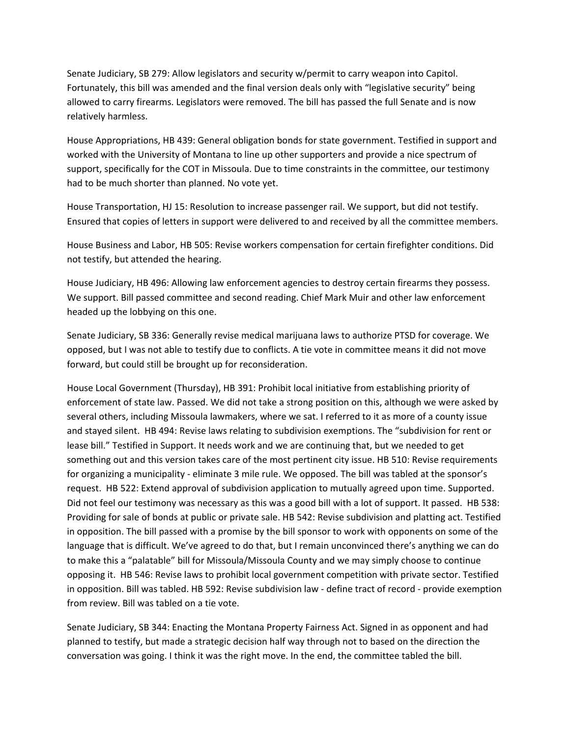Senate Judiciary, SB 279: Allow legislators and security w/permit to carry weapon into Capitol. Fortunately, this bill was amended and the final version deals only with "legislative security" being allowed to carry firearms. Legislators were removed. The bill has passed the full Senate and is now relatively harmless.

House Appropriations, HB 439: General obligation bonds for state government. Testified in support and worked with the University of Montana to line up other supporters and provide a nice spectrum of support, specifically for the COT in Missoula. Due to time constraints in the committee, our testimony had to be much shorter than planned. No vote yet.

House Transportation, HJ 15: Resolution to increase passenger rail. We support, but did not testify. Ensured that copies of letters in support were delivered to and received by all the committee members.

House Business and Labor, HB 505: Revise workers compensation for certain firefighter conditions. Did not testify, but attended the hearing.

House Judiciary, HB 496: Allowing law enforcement agencies to destroy certain firearms they possess. We support. Bill passed committee and second reading. Chief Mark Muir and other law enforcement headed up the lobbying on this one.

Senate Judiciary, SB 336: Generally revise medical marijuana laws to authorize PTSD for coverage. We opposed, but I was not able to testify due to conflicts. A tie vote in committee means it did not move forward, but could still be brought up for reconsideration.

House Local Government (Thursday), HB 391: Prohibit local initiative from establishing priority of enforcement of state law. Passed. We did not take a strong position on this, although we were asked by several others, including Missoula lawmakers, where we sat. I referred to it as more of a county issue and stayed silent. HB 494: Revise laws relating to subdivision exemptions. The "subdivision for rent or lease bill." Testified in Support. It needs work and we are continuing that, but we needed to get something out and this version takes care of the most pertinent city issue. HB 510: Revise requirements for organizing a municipality ‐ eliminate 3 mile rule. We opposed. The bill was tabled at the sponsor's request. HB 522: Extend approval of subdivision application to mutually agreed upon time. Supported. Did not feel our testimony was necessary as this was a good bill with a lot of support. It passed. HB 538: Providing for sale of bonds at public or private sale. HB 542: Revise subdivision and platting act. Testified in opposition. The bill passed with a promise by the bill sponsor to work with opponents on some of the language that is difficult. We've agreed to do that, but I remain unconvinced there's anything we can do to make this a "palatable" bill for Missoula/Missoula County and we may simply choose to continue opposing it. HB 546: Revise laws to prohibit local government competition with private sector. Testified in opposition. Bill was tabled. HB 592: Revise subdivision law ‐ define tract of record ‐ provide exemption from review. Bill was tabled on a tie vote.

Senate Judiciary, SB 344: Enacting the Montana Property Fairness Act. Signed in as opponent and had planned to testify, but made a strategic decision half way through not to based on the direction the conversation was going. I think it was the right move. In the end, the committee tabled the bill.